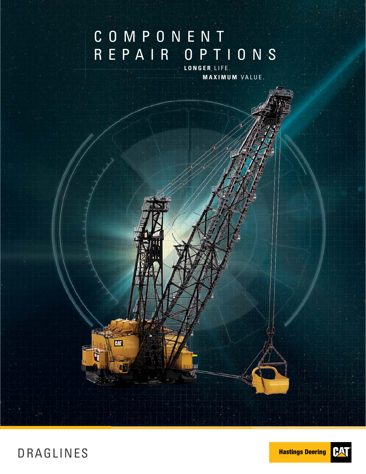# COMPONENT REPAIR OPTIONS

**LONGER** LIFE. **MAXIMUM** VALUE.



DRAGLINES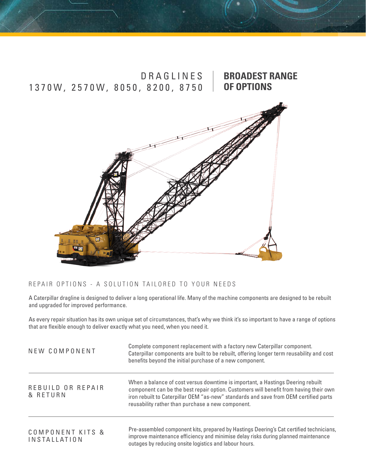



#### REPAIR OPTIONS - A SOLUTION TAILORED TO YOUR NEEDS

A Caterpillar dragline is designed to deliver a long operational life. Many of the machine components are designed to be rebuilt and upgraded for improved performance.

As every repair situation has its own unique set of circumstances, that's why we think it's so important to have a range of options that are flexible enough to deliver exactly what you need, when you need it.

| NEW COMPONENT                           | Complete component replacement with a factory new Caterpillar component.<br>Caterpillar components are built to be rebuilt, offering longer term reusability and cost<br>benefits beyond the initial purchase of a new component.                                                                                     |  |  |
|-----------------------------------------|-----------------------------------------------------------------------------------------------------------------------------------------------------------------------------------------------------------------------------------------------------------------------------------------------------------------------|--|--|
| REBUILD OR REPAIR<br>& RETURN           | When a balance of cost versus downtime is important, a Hastings Deering rebuilt<br>component can be the best repair option. Customers will benefit from having their own<br>iron rebuilt to Caterpillar OEM "as-new" standards and save from OEM certified parts<br>reusability rather than purchase a new component. |  |  |
| COMPONENT KITS &<br><b>INSTALLATION</b> | Pre-assembled component kits, prepared by Hastings Deering's Cat certified technicians,<br>improve maintenance efficiency and minimise delay risks during planned maintenance<br>outages by reducing onsite logistics and labour hours.                                                                               |  |  |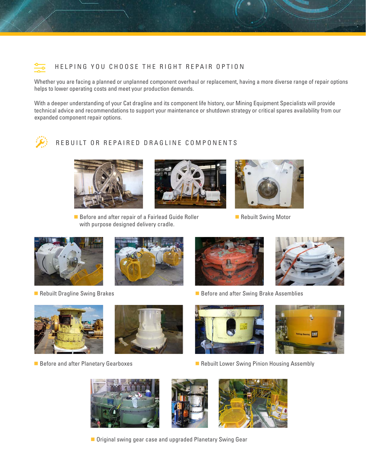

#### HELPING YOU CHOOSE THE RIGHT REPAIR OPTION

Whether you are facing a planned or unplanned component overhaul or replacement, having a more diverse range of repair options helps to lower operating costs and meet your production demands.

With a deeper understanding of your Cat dragline and its component life history, our Mining Equipment Specialists will provide technical advice and recommendations to support your maintenance or shutdown strategy or critical spares availability from our expanded component repair options.



#### REBUILT OR REPAIRED DRAGLINE COMPONENTS







Rebuilt Swing Motor





**Rebuilt Dragline Swing Brakes**  Before and after Swing Brake Assemblies











**Before and after Planetary Gearboxes <b>Republic Lower Swing Assembly** Before and after Planetary Gearboxes **Republic Lower Swing Pinion Housing Assembly** 







■ Original swing gear case and upgraded Planetary Swing Gear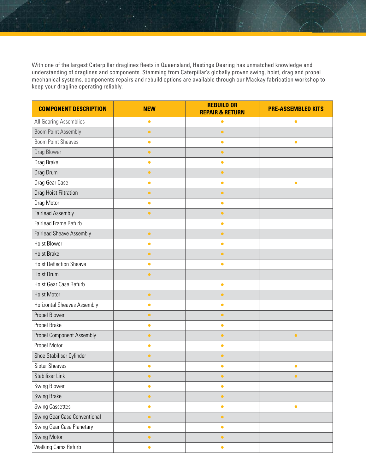With one of the largest Caterpillar draglines fleets in Queensland, Hastings Deering has unmatched knowledge and understanding of draglines and components. Stemming from Caterpillar's globally proven swing, hoist, drag and propel mechanical systems, components repairs and rebuild options are available through our Mackay fabrication workshop to keep your dragline operating reliably.

| <b>COMPONENT DESCRIPTION</b>       | <b>NEW</b> | <b>REBUILD OR</b><br><b>REPAIR &amp; RETURN</b> | <b>PRE-ASSEMBLED KITS</b> |
|------------------------------------|------------|-------------------------------------------------|---------------------------|
| All Gearing Assemblies             | $\bullet$  | $\bullet$                                       | $\bullet$                 |
| <b>Boom Point Assembly</b>         | $\bullet$  | $\bullet$                                       |                           |
| <b>Boom Point Sheaves</b>          | $\bullet$  | $\bullet$                                       | $\bullet$                 |
| Drag Blower                        | $\bullet$  | $\bullet$                                       |                           |
| Drag Brake                         | $\bullet$  | $\bullet$                                       |                           |
| Drag Drum                          | $\bullet$  | $\bullet$                                       |                           |
| Drag Gear Case                     | $\bullet$  | $\bullet$                                       | $\bullet$                 |
| Drag Hoist Filtration              | $\bullet$  | $\bullet$                                       |                           |
| Drag Motor                         | $\bullet$  | $\bullet$                                       |                           |
| <b>Fairlead Assembly</b>           | $\bullet$  | $\bullet$                                       |                           |
| Fairlead Frame Refurb              |            | $\bullet$                                       |                           |
| <b>Fairlead Sheave Assembly</b>    | $\bullet$  | $\bullet$                                       |                           |
| <b>Hoist Blower</b>                | $\bullet$  | $\bullet$                                       |                           |
| <b>Hoist Brake</b>                 | $\bullet$  | $\bullet$                                       |                           |
| <b>Hoist Deflection Sheave</b>     | $\bullet$  | $\bullet$                                       |                           |
| <b>Hoist Drum</b>                  | $\bullet$  |                                                 |                           |
| Hoist Gear Case Refurb             |            | $\bullet$                                       |                           |
| <b>Hoist Motor</b>                 | $\bullet$  | $\bullet$                                       |                           |
| <b>Horizontal Sheaves Assembly</b> | $\bullet$  | $\bullet$                                       |                           |
| Propel Blower                      | $\bullet$  | $\bullet$                                       |                           |
| Propel Brake                       | $\bullet$  | $\bullet$                                       |                           |
| <b>Propel Component Assembly</b>   | $\bullet$  | $\bullet$                                       | $\bullet$                 |
| Propel Motor                       | $\bullet$  | $\bullet$                                       |                           |
| Shoe Stabiliser Cylinder           | $\bullet$  | $\bullet$                                       |                           |
| <b>Sister Sheaves</b>              | $\bullet$  | $\bullet$                                       | $\bullet$                 |
| <b>Stabiliser Link</b>             | $\bullet$  | $\bullet$                                       | $\bullet$                 |
| Swing Blower                       | $\bullet$  | $\bullet$                                       |                           |
| Swing Brake                        | $\bullet$  | $\bullet$                                       |                           |
| <b>Swing Cassettes</b>             | $\bullet$  | $\bullet$                                       | $\bullet$                 |
| Swing Gear Case Conventional       | $\bullet$  | $\bullet$                                       |                           |
| Swing Gear Case Planetary          | $\bullet$  | $\bullet$                                       |                           |
| Swing Motor                        | $\bullet$  | $\bullet$                                       |                           |
| Walking Cams Refurb                | $\bullet$  | $\bullet$                                       |                           |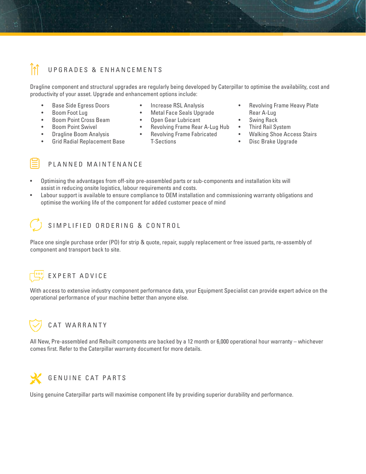

Dragline component and structural upgrades are regularly being developed by Caterpillar to optimise the availability, cost and productivity of your asset. Upgrade and enhancement options include:

- Base Side Egress Doors
- Boom Foot Lug
- Boom Point Cross Beam
- Boom Point Swivel
- Dragline Boom Analysis
- Grid Radial Replacement Base
- Increase RSL Analysis
- Metal Face Seals Upgrade
- Open Gear Lubricant
- Revolving Frame Rear A-Lug Hub
- Revolving Frame Fabricated T-Sections
- Revolving Frame Heavy Plate Rear A-Lug
- Swing Rack
- Third Rail System
- Walking Shoe Access Stairs
- Disc Brake Upgrade

#### PLANNED MAINTENANCE

- Optimising the advantages from off-site pre-assembled parts or sub-components and installation kits will assist in reducing onsite logistics, labour requirements and costs.
- Labour support is available to ensure compliance to OEM installation and commissioning warranty obligations and optimise the working life of the component for added customer peace of mind

### SIMPLIFIED ORDERING & CONTROL

Place one single purchase order (PO) for strip & quote, repair, supply replacement or free issued parts, re-assembly of component and transport back to site.

#### EXPERT ADVICE

With access to extensive industry component performance data, your Equipment Specialist can provide expert advice on the operational performance of your machine better than anyone else.



All New, Pre-assembled and Rebuilt components are backed by a 12 month or 6,000 operational hour warranty – whichever comes first. Refer to the Caterpillar warranty document for more details.



Using genuine Caterpillar parts will maximise component life by providing superior durability and performance.